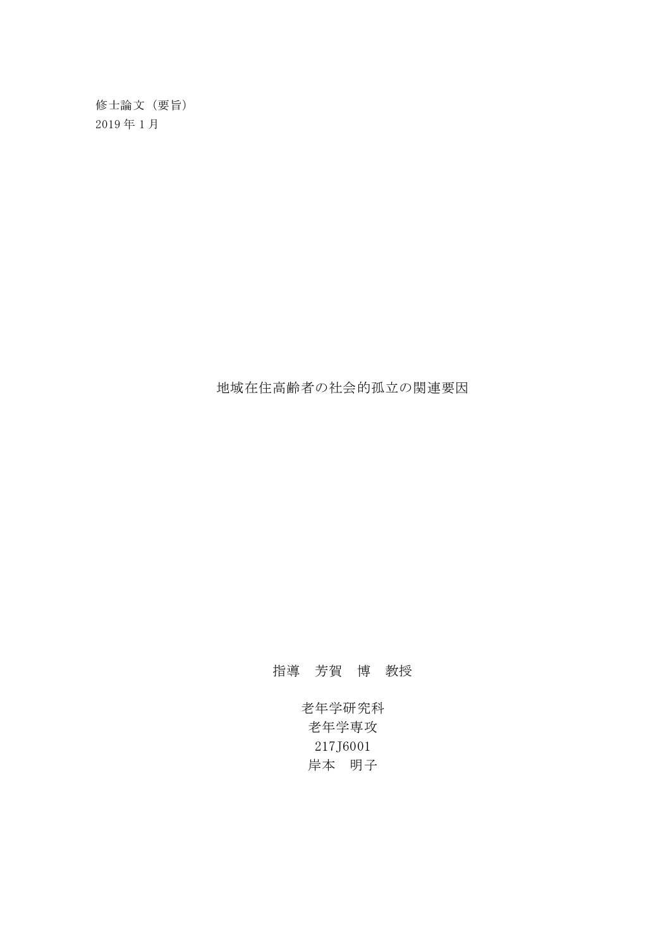老年学研究科 老年学専攻 217J6001 岸本 明子

指導 芳賀 博 教授

地域在住高齢者の社会的孤立の関連要因

修士論文(要旨) 2019 年 1 月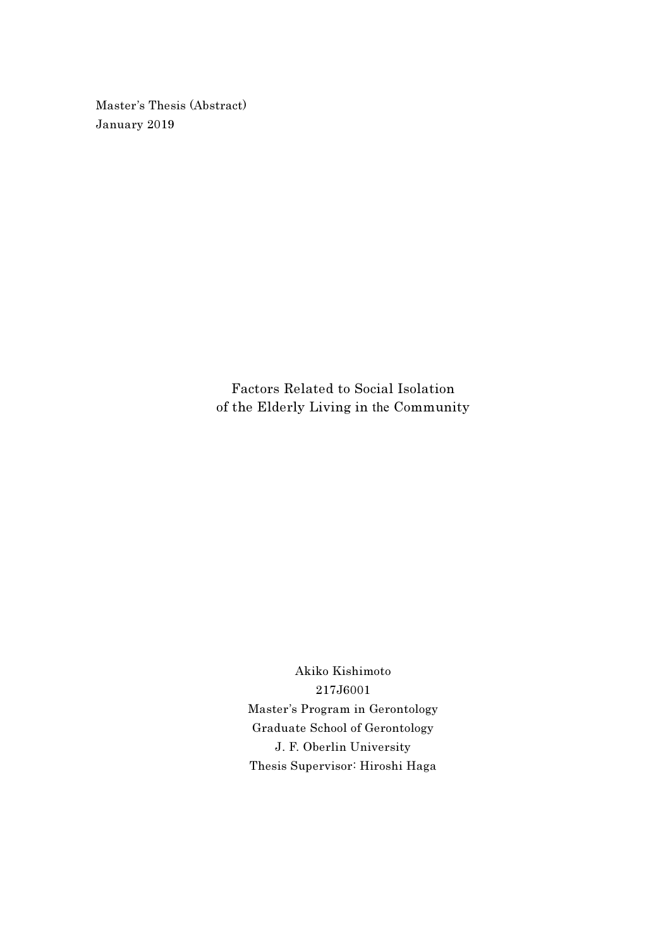Master's Thesis (Abstract) January 2019

> Factors Related to Social Isolation of the Elderly Living in the Community

> > Akiko Kishimoto 217J6001 Master's Program in Gerontology Graduate School of Gerontology J. F. Oberlin University Thesis Supervisor: Hiroshi Haga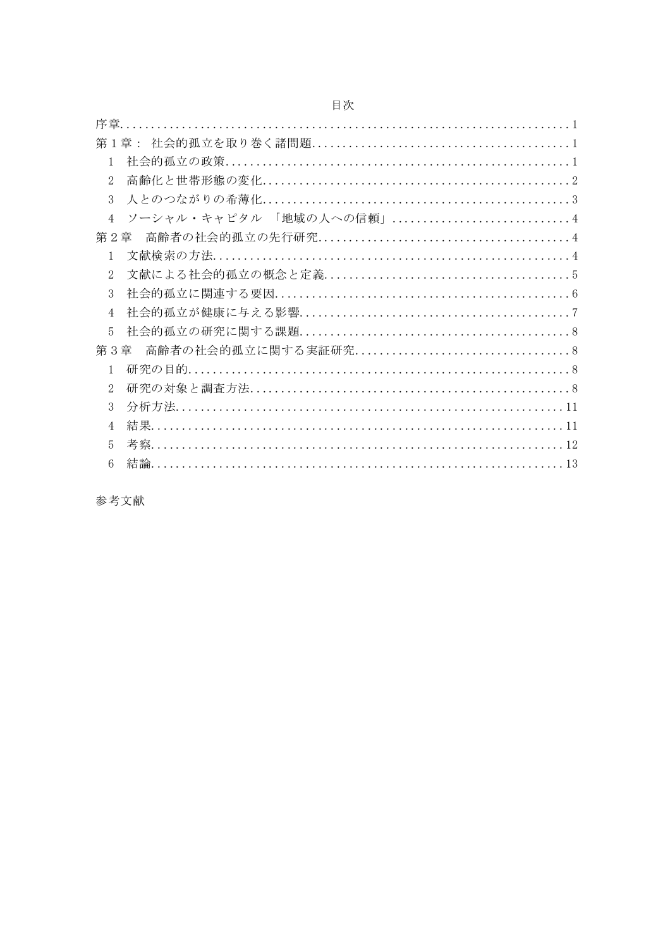| 1                                         |
|-------------------------------------------|
| $\mathfrak{2}$                            |
| 3                                         |
| ソーシャル・キャピタル 「地域の人への信頼」4<br>$\overline{4}$ |
| 第2章                                       |
| $\mathbf{1}$                              |
| $\mathfrak{2}$                            |
| 3                                         |
| 4                                         |
| $\overline{5}$                            |
| 第3章                                       |
| $\mathbf{1}$                              |
| $\mathcal{D}_{\mathcal{L}}$               |
| 3                                         |
| 4                                         |
| 5                                         |
| 6                                         |
|                                           |

参考文献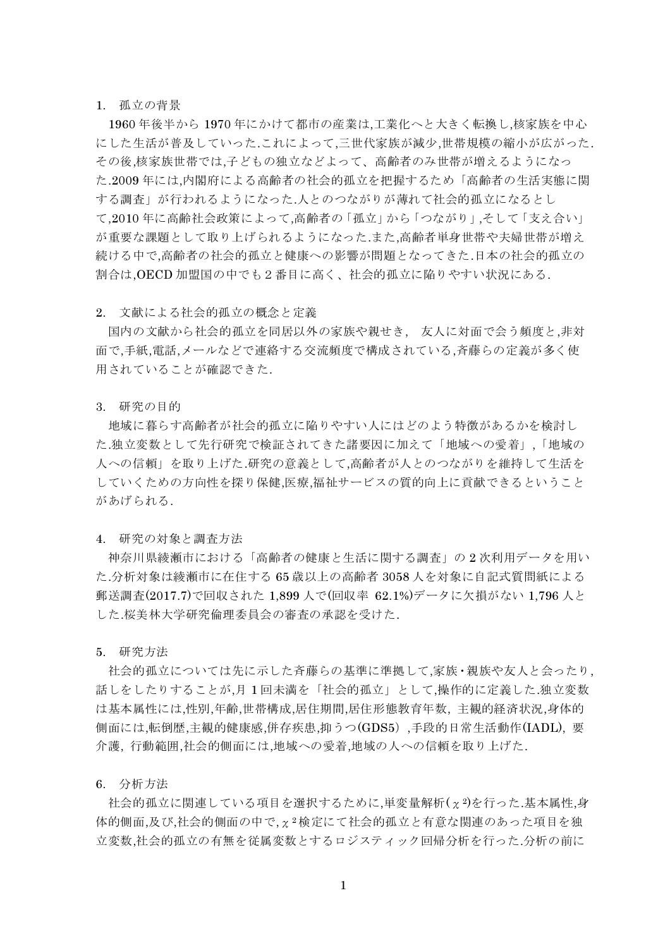# 1. 孤立の背景

1960 年後半から 1970 年にかけて都市の産業は,工業化へと大きく転換し,核家族を中心 にした生活が普及していった.これによって,三世代家族が減少,世帯規模の縮小が広がった. その後,核家族世帯では,子どもの独立などよって、高齢者のみ世帯が増えるようになっ た.2009 年には,内閣府による高齢者の社会的孤立を把握するため「高齢者の生活実態に関 する調査」が行われるようになった.人とのつながりが薄れて社会的孤立になるとし て,2010 年に高齢社会政策によって,高齢者の「孤立」から「つながり」,そして「支え合い」 が重要な課題として取り上げられるようになった.また,高齢者単身世帯や夫婦世帯が増え 続ける中で,高齢者の社会的孤立と健康への影響が問題となってきた.日本の社会的孤立の 割合は,OECD 加盟国の中でも2番目に高く、社会的孤立に陥りやすい状況にある.

### 2. 文献による社会的孤立の概念と定義

国内の文献から社会的孤立を同居以外の家族や親せき, 友人に対面で会う頻度と,非対 面で,手紙,電話,メールなどで連絡する交流頻度で構成されている,斉藤らの定義が多く使 用されていることが確認できた.

#### 3. 研究の目的

地域に暮らす高齢者が社会的孤立に陥りやすい人にはどのよう特徴があるかを検討し た.独立変数として先行研究で検証されてきた諸要因に加えて「地域への愛着」,「地域の 人への信頼」を取り上げた.研究の意義として,高齢者が人とのつながりを維持して生活を していくための方向性を探り保健,医療,福祉サービスの質的向上に貢献できるということ があげられる.

4. 研究の対象と調査方法

神奈川県綾瀬市における「高齢者の健康と生活に関する調査」の 2 次利用データを用い た.分析対象は綾瀬市に在住する 65 歳以上の高齢者 3058 人を対象に自記式質問紙による 郵送調査(2017.7)で回収された 1,899 人で(回収率 62.1%)データに欠損がない 1,796 人と した.桜美林大学研究倫理委員会の審査の承認を受けた.

5. 研究方法

社会的孤立については先に示した斉藤らの基準に準拠して,家族・親族や友人と会ったり, 話しをしたりすることが,月 1 回未満を「社会的孤立」として,操作的に定義した.独立変数 は基本属性には,性別,年齢,世帯構成,居住期間,居住形態教育年数, 主観的経済状況,身体的 側面には,転倒歴,主観的健康感,併存疾患,抑うつ(GDS5),手段的日常生活動作(IADL), 要 介護, 行動範囲,社会的側面には,地域への愛着,地域の人への信頼を取り上げた.

6. 分析方法

社会的孤立に関連している項目を選択するために,単変量解析(x2)を行った.基本属性,身 体的側面,及び,社会的側面の中で,χ<sup>2</sup> 検定にて社会的孤立と有意な関連のあった項目を独 立変数,社会的孤立の有無を従属変数とするロジスティック回帰分析を行った.分析の前に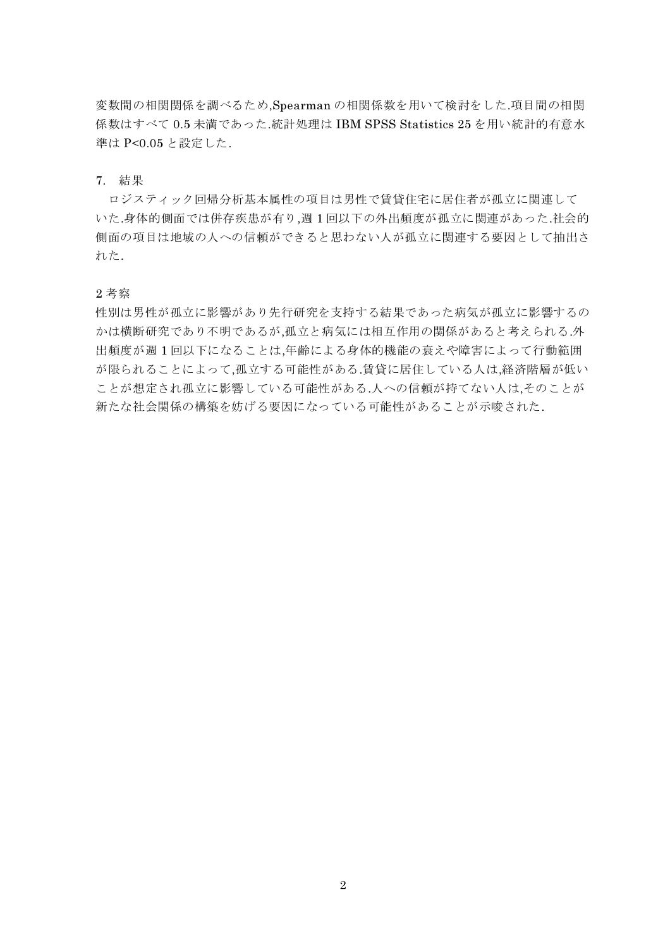変数間の相関関係を調べるため,Spearman の相関係数を用いて検討をした.項目間の相関 係数はすべて 0.5 未満であった.統計処理は IBM SPSS Statistics 25 を用い統計的有意水 準は P<0.05 と設定した.

## 7. 結果

ロジスティック回帰分析基本属性の項目は男性で賃貸住宅に居住者が孤立に関連して いた.身体的側面では併存疾患が有り,週 1 回以下の外出頻度が孤立に関連があった.社会的 側面の項目は地域の人への信頼ができると思わない人が孤立に関連する要因として抽出さ れた.

#### 2 考察

性別は男性が孤立に影響があり先行研究を支持する結果であった病気が孤立に影響するの かは横断研究であり不明であるが,孤立と病気には相互作用の関係があると考えられる.外 出頻度が週 1 回以下になることは,年齢による身体的機能の衰えや障害によって行動範囲 が限られることによって,孤立する可能性がある.賃貸に居住している人は,経済階層が低い ことが想定され孤立に影響している可能性がある.人への信頼が持てない人は,そのことが 新たな社会関係の構築を妨げる要因になっている可能性があることが示唆された.